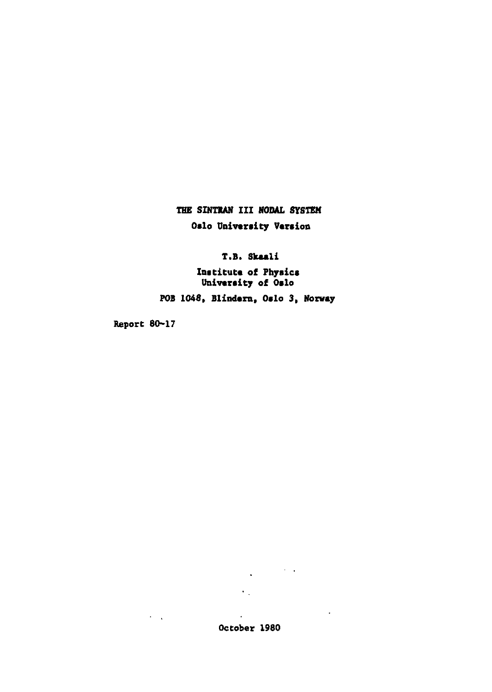**THE SIHTIAN III NODAL SYSTEM Oslo University Varsion** 

**T.B. Skuli** 

**Institute of Physics University of Oslo** 

FOB 1048, **Blindern, Oslo 3, Norway** 

Report 80-17 Report 80-17

 $\epsilon = \sqrt{2}$ 

 $\cdot$ October 1980

 $\epsilon_{\rm{max}}$ 

 $\mathcal{L}_{\text{max}}$  and  $\mathcal{L}_{\text{max}}$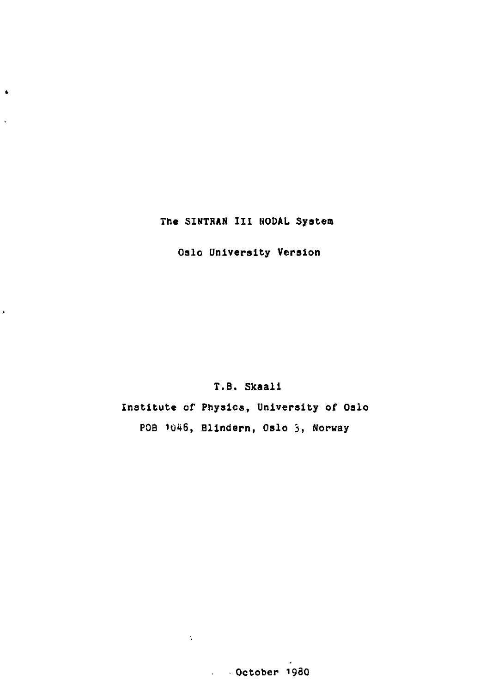# **The SINTRAN III NODAL System**

 $\bullet$ 

 $\ddot{\phantom{a}}$ 

 $\ddot{\phantom{0}}$ 

**Oslo University Version** 

# **T.B. Skaali**

**Institute of Physics, University of Oslo POB 1046, Blindern, Oslo 3, Norway** 

# **October 198O**

 $\Delta \sim 1$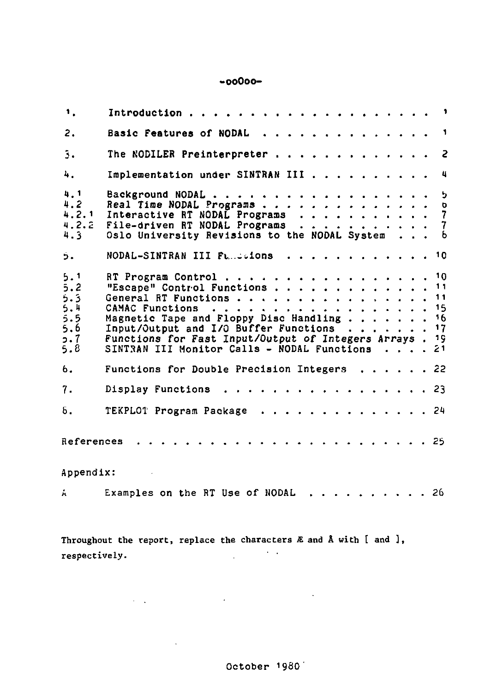# **-ooOoo-**

| 1.                                                   |                                                                                                                                                                                                                                                                                                                      |              |  |  |  |  |  |
|------------------------------------------------------|----------------------------------------------------------------------------------------------------------------------------------------------------------------------------------------------------------------------------------------------------------------------------------------------------------------------|--------------|--|--|--|--|--|
| 2.                                                   | Basic Features of NODAL                                                                                                                                                                                                                                                                                              | $\mathbf{1}$ |  |  |  |  |  |
| $\overline{\mathbf{3}}$ .                            | The NODILER Preinterpreter                                                                                                                                                                                                                                                                                           | -2           |  |  |  |  |  |
| 4.                                                   | Implementation under SINTRAN III                                                                                                                                                                                                                                                                                     | 4            |  |  |  |  |  |
| 4.1<br>4.2<br>4, 2, 1<br>4.2.2<br>$4.3 -$            | Background NODAL 5<br>Real Time NODAL Programs 0<br>Interactive RT NODAL Programs 7<br>File-driven RT NODAL Programs 7<br>Oslo University Revisions to the NODAL System 6                                                                                                                                            |              |  |  |  |  |  |
| Ś.                                                   | NODAL-SINTRAN III Fundations 10                                                                                                                                                                                                                                                                                      |              |  |  |  |  |  |
| 5.1<br>5.2<br>5.3<br>5.4<br>5.5<br>5.6<br>5.7<br>5.8 | RT Program Control 10<br>"Escape" Control Functions<br>General RT Functions 11<br>CAMAC Functions $\ldots$ , 15<br>Magnetic Tape and Floppy Disc Handling 16<br>Input/Output and I/O Buffer Functions 17<br>Functions for Fast Input/Output of Integers Arrays. 19<br>SINTRAN III Monitor Calls - NODAL Functions 21 | 11           |  |  |  |  |  |
| 6.                                                   | Functions for Double Precision Integers $\dots$ 22                                                                                                                                                                                                                                                                   |              |  |  |  |  |  |
| 7.                                                   | Display Functions 23                                                                                                                                                                                                                                                                                                 |              |  |  |  |  |  |
| δ.                                                   | TEKPLOT Program Package 24                                                                                                                                                                                                                                                                                           |              |  |  |  |  |  |
| References                                           |                                                                                                                                                                                                                                                                                                                      |              |  |  |  |  |  |
| Appendix:                                            |                                                                                                                                                                                                                                                                                                                      |              |  |  |  |  |  |
| Á.                                                   | Examples on the RT Use of NODAL 26                                                                                                                                                                                                                                                                                   |              |  |  |  |  |  |

Throughout the report, replace the characters  $E$  and  $\lambda$  with  $[$  and  $],$  respectively. respectively.

 $\label{eq:2.1} \mathcal{L}(\mathbf{y},\mathbf{y}) = \mathcal{L}(\mathbf{y},\mathbf{y}) = \mathcal{L}(\mathbf{y},\mathbf{y}) = \mathcal{L}(\mathbf{y},\mathbf{y})$ 

 $\sim 10^{-11}$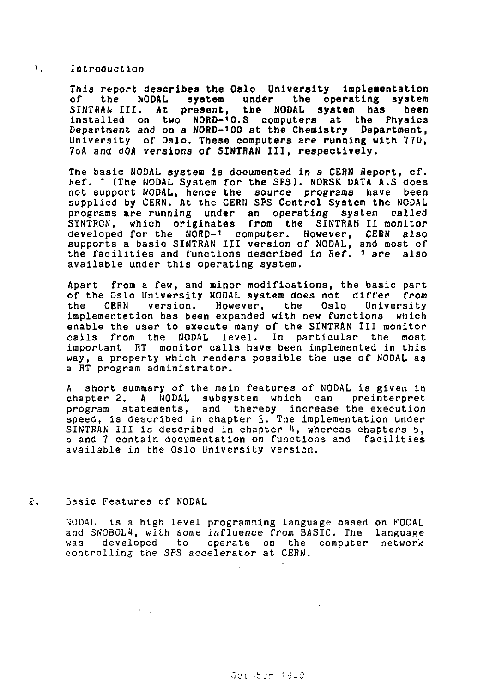### $\mathbf{E}$ Introduction

This report **describes the Oalo University implementation**  of the **NODAL system under the operating system**  3INTRAN III. **At present, the NODAL system has** been installed on **two NORD-'O.S computers at the Physics**  Department and on **a** NORD-'OO at **the Chemistry Department,**  University of **Oslo. These computers** are **running** with 77D, 7oA and oOA versions of **SINTRAN III, respectively.** 

The basic NODAL system is documented in a CERN Report, cf. Ref. 1 (The MODAL Systera for **the** SPS). NORSK DATA A.S does not support MODAL, hence the source programs have been supplied by CERN. At the CERN SPS Control System the NODAL programs are running under an operating system called SYNTRON, which originates from the SINTRAN II monitor developed for the NORD-' computer. However, CERN also supports a basic SINTRAN III version of NODAL, and most of the facilities and functions described in Ref. <sup>1</sup> *are* also available under this operating system.

Apart from a few, and minor modifications, the basic part of the Oslo University NODAL system does not differ from<br>the CERN version. However, the Oslo University CERN version. However, the Oslo University implementation has been expanded with new functions which enable the user to execute many of the SINTRAN III monitor calls from the NODAL level. In particular the most important RT monitor calls have been implemented in this way, a property which renders possible the use of NODAL as a RT program administrator.

A short summary of the main features of NODAL is given in chapter 2. A NODAL subsystem which can preinterpret program statements, and thereby increase the execution speed, is described in chapter 5. The implementation under SINTRAN III is described in chapter 4, whereas chapters 5, 0 and 7 contain documentation on functions and facilities available in the Oslo University version.

#### $\mathcal{L}_{\mathcal{L}}$ Basic Features of NODAL

MODAL is a high level programming language based on FOCAL and SNOBOL4, with some influence from BASIC. The language<br>was developed to operate on the computer network developed to operate on the computer network controlling the SPS accelerator at CERN.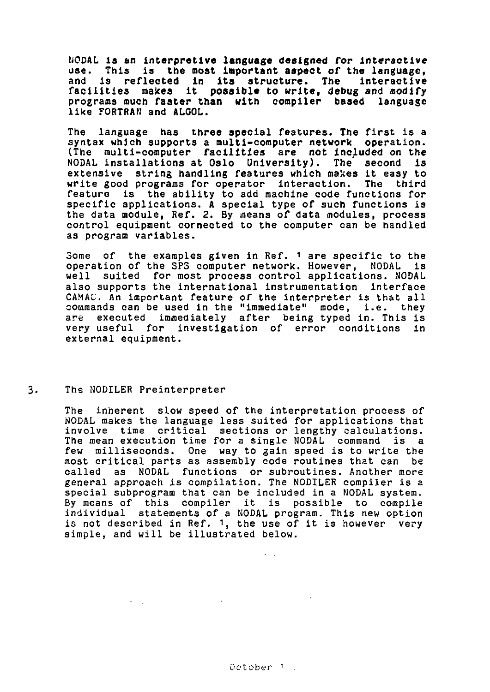NODAL **is** an **interpretive language designed for interactive**  use. This **is the most important aspect of the language,**  and **is reflected in its structure. The** Interactive facilities makes **it possible to write, debug** and modify programs much faster **than with** compiler based language like FORTRAN and ALGOL.

The language has three special features. The first is a syntax which supports a multi-computer network operation. (The multi-computer facilities are not included on the NODAL installations at Oslo University). The second is extensive string handling features which makes it easy to write good programs for operator interaction. The third feature is the ability to add machine code functions for specific applications. A special type of such functions is the data module, Ref. 2. By means of data modules, process control equipment cornected to the computer can be handled as program variables.

Some of the examples given in Ref. *i* are specific to the operation of the SPS computer network. However, MODAL is well suited for most process control applications. NODAL also supports the international instrumentation interface CAMAC. An important feature of the interpreter is that all commands can be used in the "immediate" mode, i.e. they are executed immediately after being typed in. This is very useful for investigation of error conditions in external equipment.

## 3. The NODILER Preinterpreter

The inherent slow speed of the interpretation process of NODAL makes the language less suited for applications that involve time critical sections or lengthy calculations. The mean execution time for a single MODAL command is a few milliseconds. One way to gain speed is to write the most critical parts as assembly code routines that can be called as NODAL functions or subroutines. Another more general approach is compilation. The NODILER compiler is a special subprogram that can be included in a NODAL system. By means of this compiler it is possible to compile individual statements of a NODAL program. This new option is not described in Ref. 1, the use of it is however very simple, and will be illustrated below.

0etober i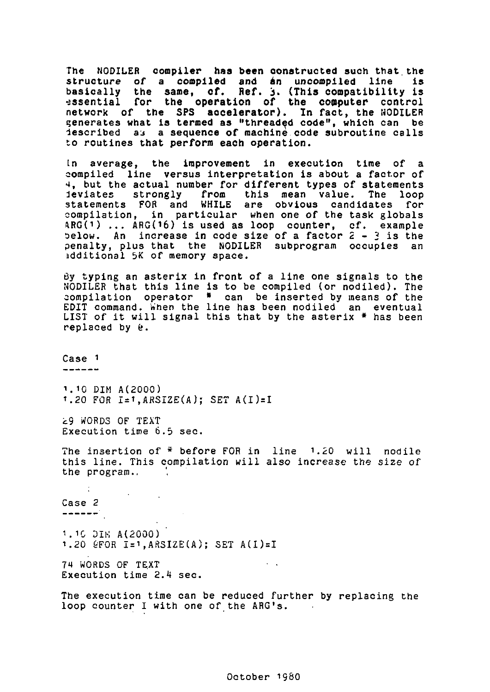The NODILER compiler **has been** constructed such that.the structure of a **compiled** and an uncomplled line is basically the **sane, cf. Ref.** j. **(This** compatibility is •essential for **the operation of the computer** control network of the SPS **accelerator).** In fact, the NODILER generates what is termed as "threaded code", which can be described aj a sequence of machine code subroutine calls to routines that perform each operation.

In average, the improvement in execution time of compiled line versus interpretation is about a factor of 4, but the actual number for different types of statements leviates strongly from this mean value. The loop statements FOB and WHILE are obvious candidates for compilation, in particular when one of the task globals ARG(1) ... ARG(16) is used as loop counter, cf. example<br>pelow. An increase in code size of a factor 2 – 3 is the penalty, plus that the NODILER subprogram occupies an additional 5K of memory space.

By typing an asterix in front of a line one signals to the NODILER that this line is to be compiled (or nodiled). The compilation operator \* can be inserted by means of the EDIT command. When the line has been nodiled an eventual LIST of it will signal this that by the asterix \* has been replaced by  $f$ .

Case  $1$ 

1.10 DIM A(2000)  $1.20$  FOR I=1, ARSIZE(A); SET A(I)=I

i.9 WORDS OF TEXT Execution time 6.5 sec.

The insertion of \* before FOR in line 1.20 will nodile this line. This compilation will also increase the size *of*  the program.,

Case 2<br>------

1.10 DIK A(2000)  $1.20$  &FOR I= $1.$ ARSIZE(A): SET A(I)=I

74 WORDS OF TEXT Execution time 2.4 sec.

The execution time can be reduced further by replacing the loop counter I with one of the ARG's.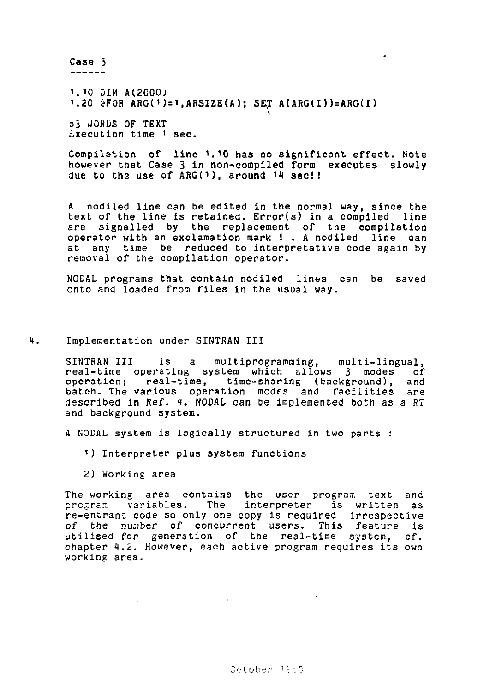Case 5

<sup>1</sup> .'0 SIM A(2000j 1.20 &F0R ARGP) = **1,ARSIZE(A); SET A(ARGU**)**)=ARG(I**)

33 JORDS OF TEXT Execution time <sup>1</sup> sec.

Compilation of line i.'O **has** no significant effect. Note however that Case 3 in non-compiled form executes slowly due to the use of ARG(1), around 14 sec!!

A nodiled line can be edited in the normal way, since the text of the line is retained. Error(s) in a compiled line are signalled by the replacement of the compilation operator with an exclamation mark ! . A nodiled line can at any time be reduced to interpretative code again by removal of the compilation operator.

NODAL programs that contain nodiled lines can be saved onto and loaded from files in the usual way.

## 1. Implementation under SINTRAN III

SINTRAN III is a multiprogramming, multi-lingual, real-time operating system which allows 3 modes of operation; real-time, time-sharing (background), and batch. The various operation modes and facilities are described in Ref. *4.* NODAL can be implemented both as a RT and background system.

A NODAL system is logically structured in two parts :

- <sup>1</sup> ) Interpreter plus system functions
- 2) Working area

The working area contains the user program text and program variables. The interpreter is written as re-entrant code so only one copy is required irrespective *of* the number of concurrent users. This feature is utilised for generation of the real-time system, cf. chapter 1.2. However, each active program requires its own working area.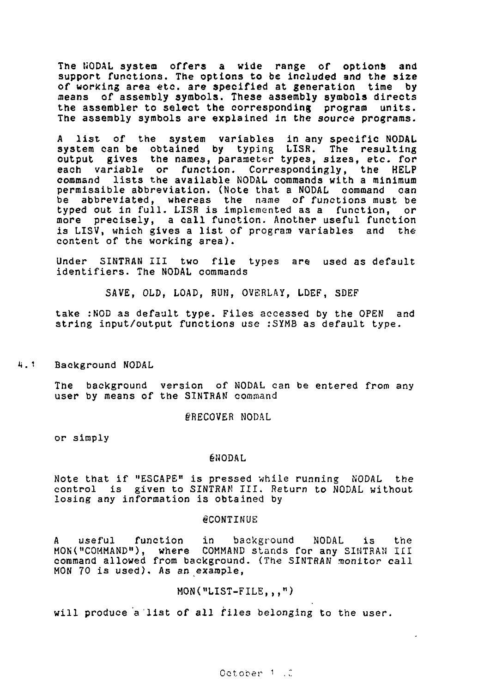The NODAL system offers a wide range of options and support functions. The options to be included and the size of working area etc. are specified at generation time by means of assembly symbols. These assembly symbols directs the assembler to select the corresponding program units. The assembly symbols are explained in the source programs.

A list of the system variables in any specific NODAL system can be obtained by typing LISR. The resulting output gives the names, parameter types, sizes, etc. for each variable or function. Correspondingly, the HELP command lists the available NODAL commands with a minimum permissible abbreviation. (Note that a NODAL command can be abbreviated, whereas the name of functions must be typed out in full. LISR is implemented as a function, or more precisely, a call function. Another useful function is LISV, which gives a list of program variables and the content of the working area).

Under SINTRAN III two file types are used as default identifiers. The NODAL commands

SAVE, OLD, LOAD, RUM, OVERLAY, LDEF, SDEF

take :NOD as default type. Files accessed by the OPEN and string input/output functions use :SYMB as default type.

4.1.1 Background NODAL

> The background version of NODAL can be entered from any user by means of the SINTRAN command

> > 6'RECOVER NODAL

or simply

### éHODAL

Note that if "ESCAPE" is pressed while running NODAL the control is given to SINTRAN III. Return to NODAL without losing any information is obtained by

### **@CONTINUE**

A useful function in background NODAL is the<br>MON("COMMAND"), where COMMAND-stands-for-any-SIHTRAN-III command allowed from background. (The SINTRAN monitor call HON 70 is used). As an example,

# MON("LIST-FILE,,,")

will produce a list of all files belonging to the user.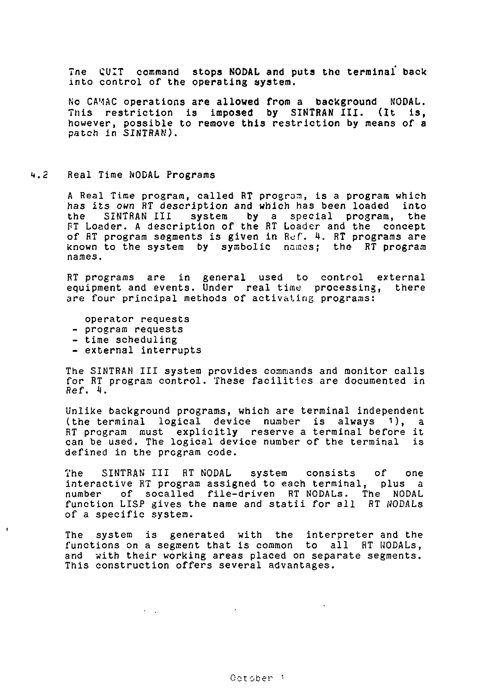The CUIT command **stops NODAL and puts the terminal back**  into control of the **operating system.** 

No CAMAC **operations are allowed from** a **background** NODAL. This restriction **is imposed by SINTRAN III. (It** is, however, possible to remove this restriction by means of a patch in SINTRAN).

#### $4.2$ Real Time NODAL Programs

A Real Time program, called RT program, is a program which has its own RT description and which has been loaded into the SINTRAN III system by a special program, the RT Loader. A description of the RT Loader and the concept of RT program segments is given in Ref. 4. RT programs are known to the system by symbolic names; the RT program names.

RT programs are in general used to control external equipment and events. Under real time processing, there are four principal methods of activating programs:

operator requests

- program requests
- time scheduling
- external interrupts

 $\sigma_{\rm{max}}$  and

The SINTRAH III system provides commands and monitor calls for RT program control. These facilities are documented in Ref. 4.

Unlike background programs, which are terminal independent (the terminal logical device number is always 1), a RT program must explicitly reserve a terminal before it can be used. The logical device number of the terminal is defined in the program code.

The SINTRAN III RT NODAL system consists of one interactive RT program assigned to each terminal, plus a number of socalled file-driven RT NODALs. The NODAL function LISP gives the name and statii for all RT NODALs of a specific system.

The system is generated with the interpreter and the functions on a segment that is common to all RT UODALs, and with their working areas placed on separate segments. This construction offers several advantages.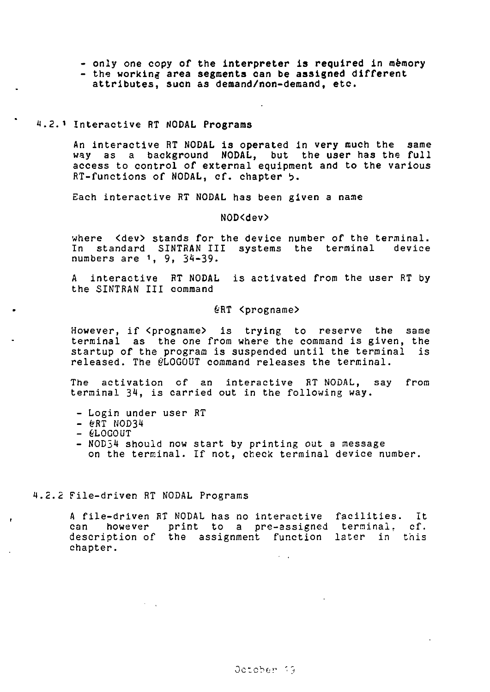- **only one copy of the interpreter is required in memory -** the **working area segments can be assigned different**
- **attributes, sucn as demand/non-demand, etc.**

### **<sup>1</sup>** Interactive **RT NODAL Programs**

An interactive **RT NODAL is operated in very much the same way as a background NODAL, but the user has the full**  access to **control of external** equipment **and to the various**  RT-functions of NODAL, of. **chapter** b.

Each interactive RT NODAL has been given a name

NOD<dev>

where <dev> stands for the device number of the terminal. In standard SINTRAN III systems the terminal device numbers are 1, 9, 34-39.

A interactive RT NODAL is activated from the user RT by the SINTRAN III command

### §RT <progname>

However, if <progname> is trying to reserve the same terminal as the one from where the command is given, the startup of the program is suspended until the terminal released. The *@LOGOUT* command releases the terminal.

The activation cf an interactive RT NODAL, say from terminal 34, is carried out in the following way.

- Login under user RT
- $\text{erf}$  NOD34
- 6L0G0UT

 $\bullet$ 

- NOD54 should now start by printing out a message on the terminal. If not, check terminal device number.

# 4.2.2 File-driven RT NODAL Programs

A file-driven RT NODAL has no interactive facilities. It can however print to a pre-assigned terminal, cf. description of the assignment function later in this chapter.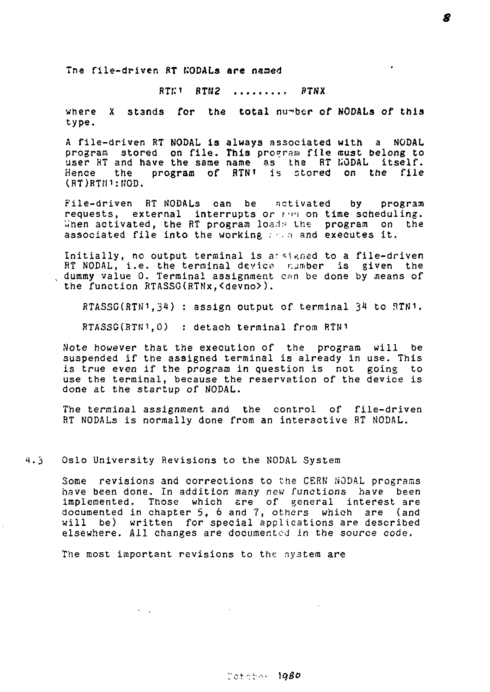Tne file-driven **BT KODALs are** named

 $RTK1$   $RTR2$  .........  $RTNX$ 

where X stands **for** the **total** number **of NODALs of this**  type.

A file-driven RT NODAL is always associated with a NODAL program stored on file. This program file must belong to<br>user HT and have the same name as the RT WODAL itself.<br>Hence the pr<mark>ogram of RTN!</mark> is stored on the file lRT)RTtP:MOD.

File-driven RT NODALs can be activated by program requests, external interrupts *or* pi'i on time scheduling. When activated, the RT program loads the program on the associated file into the working  $\cdots$  and executes it.

Initially, no output terminal is assigned to a file-driven RT NODAL, i.e. the terminal device number is given the dummy value 0. Terminal assignment can be done by means of the function RTASSG(RTNx,<devno>).

RTASSG(HTN1,34) : assign output of terminal 34 to RTN1.

RTASSG(RTN1.0) : detach terminal from RTN1

Note however that the execution of the program will be suspended if the assigned terminal is already in use. This is true even if the program in question is not going to use the terminal, because the reservation of the device is done at the startup of NODAL.

The terminal assignment and the control of file-driven RT NODALs is normally done from an interactive RT NODAL.

4.3 Oslo University Revisions to the NODAL System

 $\sim 10$ 

Some revisions and corrections to the CERN NODAL programs have been done. In addition many new functions have been implemented. Those which are of general interest are documented in chapter 5, 6 and 7, others which are (and will be) written for special applications are described elsewhere. All changes are documented in the source code.

The most important revisions to the system are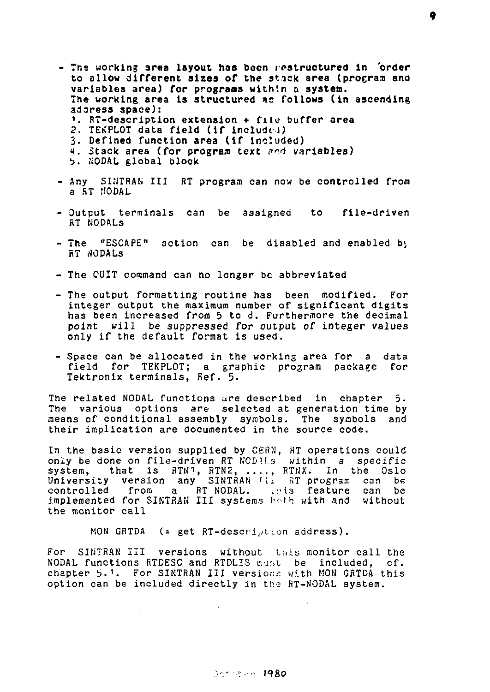- The working area layout has been restructured in 'order to allow different **sizes of** the stick area (proeras and variables area) for programs within a **system.**  The working area is structured *is* follows (in ascending address space):
	- $\frac{1}{2}$ . RT-description extension + file buffer area
	- 2. TEKPLOT data field (if included)
	- 3. Defined function area (if included)
	- *t.* Stack area (for program text *o"A* variables)
	- t>. NODAL global block
- Any SINTRAN III RT program can now be controlled from a AT MODAL
- Output terminals can be assigned to file-driven fiT NODALs
- The "ESCAPE" action can be disabled and enabled *b\*  r.T MODALs
- The QUIT command can no longer be abbreviated
- The output formatting routine has been modified. For integer output the maximum number of significant digits has been increased from 5 to d. Furthermore the decimal point will be suppressed for output of integer values only if the default format is used.
- Space can be allocated in the working area for a data field for TEKPLOT; a graphic program package for Tektronix terminals, Ref. 5.

The related NODAL functions are described in chapter 5. The various options are selected at generation time by means of conditional assembly symbols. The symbols and their implication are documented in the source code.

In the basic version supplied by CERN, HT operations could only be done on file-driven RT NCDALs within a specific system, that is RTN1, RTN2, ...., RTNX. In the Oslo<br>University version any SINTRAN <u>Li RT program can</u> be controlled from a RT MODAL. iris feature can be implemented for SINTRAN III systems both with and without the monitor call

MON GRTDA  $($  = get RT-description address).

For SINTRAN III versions without this monitor call the NODAL functions RTDESC and RTDLIS must be included, cf. chapter 5.1. For SINTRAN III versions with MON GRTDA this option can be included directly in the HT-NODAL system.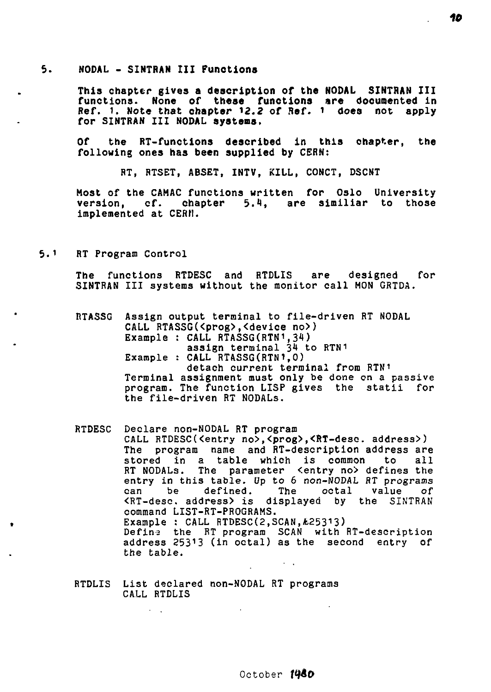#### 5. **NODAL - SINTRAN III Functions**

**This chapter gives a description of the NODAL SINTRAN III functions. None of these funotions are documented in Ref. i. Note that ohapter 12.2 of Ref. 1 does not apply for SINTRAN III NODAL systems.** 

**Of the RT-functions described in this chapter, the following ones has been supplied by** CERN:

RT, RTSET, ABSET, INTV, KILL, CONCT, DSCNT

Most of the CAMAC functions written for Oslo University version, cf. **chapter** 5.1, are slmiliar to those implemented at CERN.

#### $5.1 -$ RT Program Control

The functions RTDESC and RTDLIS are designed for SINTRAN III systems without the monitor call MON CRTDA.

RTASSG Assign output terminal to file-driven RT NODAL CALL RTASSG(<prog>,<device no>)<br>Example : CALL RTASSG(RTN<sup>1</sup>,34) assign terminal 34 to RTN1 Example : CALL RTASSG(RTN1.0) detach current terminal from RTNi Terminal assignment must only be done on a passive program. The function LISP gives the statii for the file-driven RT NODALs.

RTDESC Declare non-NODAL RT program CALL RTDESC(<entry no>,<prog>,<RT-dese. address>) The program name and RT-description address are<br>stored in a table which is common to all stored in a table which is common to RT NODALs. The parameter <entry no> defines the<br>entry in this table. Up to 6 non-NODAL RT programs can be defined. The octal value of <RT-desc. address> is displayed by the SINTRAN command LIST-RT-PROGRAMS. Example : CALL RTDESC(2, SCAN, £25313) Define the RT program SCAN with RT-description address  $25313$  (in octal) as the second entry of the table.

RTDLIS List declared non-NODAL RT programs CALL RTDLIS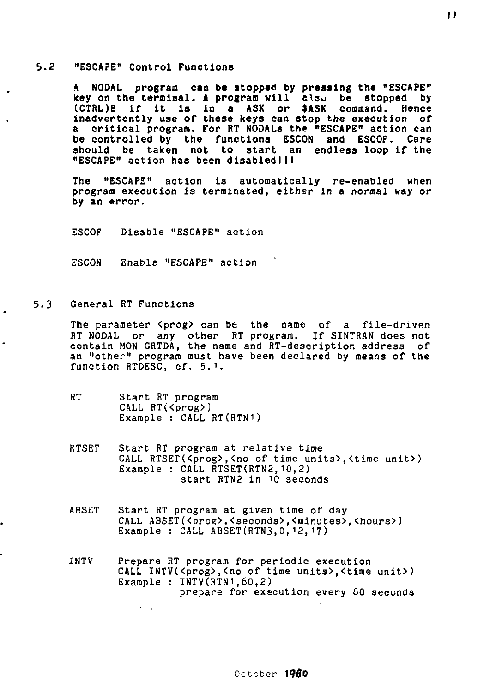#### $5.2$ **"ESCAPE" Control Functions**

**A NODAL program can be stopped by pressing the "ESCAPE" key on the terminal. A program will** also **be stopped by (CTRL)B if it is in a ASK or** \*ASK **command. Hence inadvertently use of these keys can stop the execution** *of*  **a critical program. For RT NODALs the "ESCAPE" action can be controlled by the functions ESCON and ESCOF. Cere should be taken not to start an endless loop if the "ESCAPE" action has been disabled! 11** 

**The "ESCAPE" action** is **automatically re-enabled when program execution is terminated, either in** a *normal* **way** *or*  **by** an error.

ESCOF Disable "ESCAPE" action

ESCON Enable "ESCAPE" action

 $5.3$ General RT Functions

> The parameter <prog> can be the name of a file-driven RT NODAL or any other RT program. If SINTRAN does not contain MON GRTDA, the name and RT-description address of an "other" program must have been declared by means of the function RTDESC, cf. 5.1.

- RT Start RT program CALL RT(<prog>) Example : CALL RT(RTN1)
- RTSET Start RT program at relative time CALL RTSET(<prog>,<no of time units>,<time unit>) Example : CALL RTSET(RTN2,10,2) start RTN2 in 10 seconds
- AESET Start RT program at given time of day CALL ABSET(<prog>,<seconds>,<minutes>,<hours>) Example : CALL ABSET(RTN3, 0, 12, 17)
- INTV Prepare RT program for periodic execution CALL INTV(<prog>,<no of time units>,<time unit>) Example :  $INTV(RTN<sup>1</sup>, 60, 2)$ prepare for execution every 60 seconds

 $\mathbf{H}$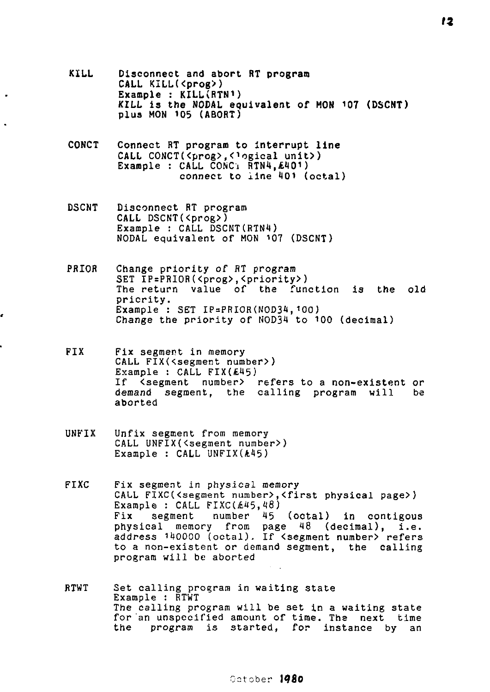- **KILL Disconnect and abort RT program CALL KILL(<prog>)**  Example : KILL(RTN<sup>1</sup>) **KILL is the NODAL equivalent of HON 107 (DSCMT) plus HON 105 (ABORT)**
- **CONCT Connect RT program to interrupt line**  CALL CONCT(<prog>,<logical unit>) **Example** : **CALL** CONCi **RTN4,£t(0i)**  connect to line **401 (octal)**
- **DSCNT** Disconnect **RT** program CALL DSCNT(<prog>) Example : CALL DSCNT(RTN4) NODAL equivalent of HON 107 (DSCNT)
- PRIOR Change priority of RT program SET IP=PRIOR(<prog>,<priority>) The return value of the function is the **old**  priority. Example : SET IP=PRIOR(NOD34,100) Change the priority of NOD34 to 100 (decimal)
- FIX Fix segment in memory CALL FIX(<segment number>) Example : CALL  $FIX(E45)$ If <segment number> refers to a non-existent or<br>demand segment, the calling program will be demand segment, the calling program will aborted
- UNFIX Unfix segment from memory CALL UNFIX(<segment number>) Example :  $CALL$  UNFIX $(A45)$
- FIXC Fix segment in physical memory CALL FIXC(<segment number>,<first physical page>) Example : CALL FIXC( $£45,48$ ) Fix segment number 45 (octal) in contigous physical memory from page 48 (decimal), i.e. address 140000 (octal). If <segment number) refers to a non-existent or demand segment, the calling program will be aborted
- RTWT Set calling program in waiting state Example : RTWT The calling program will be set in a waiting state for an unspecified amount of time. The next time the program is started, for instance by an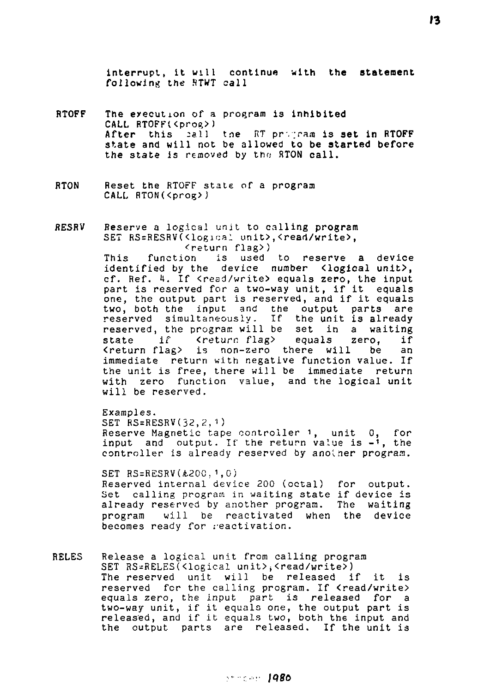interrupt, it will continue with **the statement**  following the RTWT call

- RTOFF The execution of a program is inhibited CALL RTOFF(<prog>) After this call the RT program is set in RTOFF state and will not be allowed to **be started before**  the state is removed by the HTON call.
- RTON Reset the RTOrF state of a program CALL RTON(<prog>)
- fiESRV *Beserve* a logical unit to calling program SET RS=RESRV(<logical unit>,<read/write>, (eturn flag>)<br>function is used

This function is used to reserve a device identified by the device number <logical unit>, cf. Ref. 1. If <read/write> equals zero, the input part is reserved for a two-way unit, if it equals one, the output part is reserved, and if it equals two, both the input and the output parts are reserved simultaneously. If the unit is already reserved, the program will be set in a waiting<br>state if (return flag) equals zero, if Kreturn flag> equals zero,  $k$ return flag> is non-zero there will be an immediate return with negative function value. If the unit is free, there will be immediate return with zero function value, and the logical unit will be reserved.

Examples. SET  $RS=RESRV(32,2,1)$ Reserve Magnetic tape controller 1, unit 0, for input and output. If the return value is  $-i$ , the controller is already reserved by another program.

SET  $RS = RESRV(A200, 1, 0)$ Reserved internal device 200 (octal) for output. Set calling program in waiting state if device is already reserved by another program. The waiting<br>program will be reactivated when the device will be reactivated when the device becomes ready for reactivation.

RELES Release a logical unit from calling program SET RS=RELES(<logical unit>, <read/write>) The reserved unit will be released if it is reserved for the calling program. If <read/write> equals zero, the input part is released for a two-way unit, if it equals one, the output part is released, and if it equals two, both the input and the output parts are released. If the unit is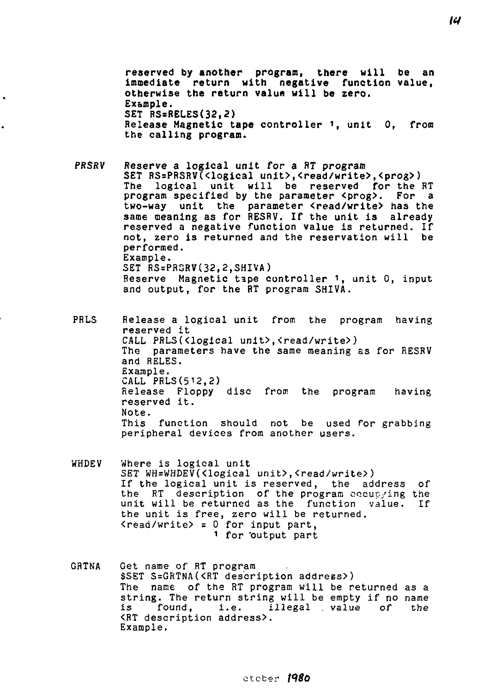**reserved by another program, there will be an immediate return with negative function value, otherwise the return value will be zero. Example. SET RS=RELES(32,2) Release Magnetic tape controller** *i,* unit **0,** from the **calling program.** 

PRSRV Reserve **a** logical unit for a RT program SET RS=PRSRV(<logical unit>,<read/write>,<prog>)<br>The logical unit will be reserved for the l logical unit will be reserved for the RT program specified by the parameter <prog>. For a two-way unit the parameter <read/write> has the same meaning as for RESRV. If the unit is already reserved a negative function value is returned. If not, zero is returned and the reservation will be performed. Example. SET RS=PR3RV(32,2,SHIVA) Reserve Magnetic tape controller <sup>1</sup> , unit 0, input and output, for the RT program SHIVA.

 $\ddot{\phantom{0}}$ 

PRLS Release a logical unit from the program having reserved it CALL PRLS(<logical unit>,<read/write>) The parameters have the same meaning as for RESRV and RELES. Example. CALL PRLS(512,2) Release Floppy disc from the program having reserved it. Note. This function should not be used for grabbing peripheral devices from another users.

- WHDEV Where is logical unit SET WH=WHDEV(<logical unit>,<read/write>) If the logical unit is reserved, the address of the RT description of the program occupying the unit will be returned as the function value. If the unit is free, zero will be returned.  $\{read/write\} = 0$  for input part, 1 for "output part
- GRTNA Get name of RT program \$SET S=GRTNA(<RT description address>) The name of the RT program will be returned as a string. The return string will be empty if no name<br>is found, i.e. illegal value of the i.e. illegal . value <RT description address>. Example.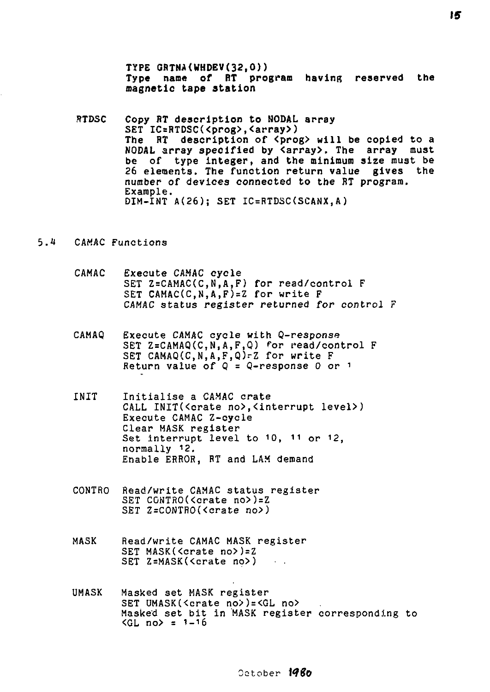**TYPE GRTNA(WHDEV(32,0)) Type name of RT program having reserved the magnetic tape station** 

**STDSC Copy RT description to NODAL array SET IC=RTDSC(<prog>,<array>)**  The RT description of <prog> will be copied to a **NODAL array specified by <array>. The array must be of type integer, and the minimum size must be 26 elements. The function return value gives the**  number **of** devices **connected to the** RT **program.**  Example. DIM-INT A(26); SET IC=RTDSC(SCANX,A )

### 5.4 CAMAC Functions

- CAMAC Execute CAMAC cycle SET Z=CAMAC(C,N,A,F) for read/control F SET CAMAC(C, N, A, F)=Z for write F CAMAC status register returned for control F
- CAMAQ Execute CAMAC cycle with Q-response SET Z=CAMAQ(C,N,A,F,Q) for read/control F SET CAMAQ(C,N,A,F,Q)-Z for write F Return value of  $Q = Q$ -response 0 or 1
- INIT Initialise a CAMAC crate CALL INIT(<crate no>,<interrupt level>) Execute CAMAC Z-cycle Clear MASK register Set interrupt level to 10, 11 or 12, normally 12. Enable ERROR, RT and LAM demand
- CONTRO Read/write CAMAC status register SET CONTRO(<crate no>)=Z SET Z=CONTRO(<crate no>)
- MASK Read/write CAMAC MASK register SET MASK(<crate no>)=Z SET Z=MASK(<crate no>)
- UMASK Masked set MASK register SET UMASK(<crate no>)=<GL no> Masked set bit in MASK register corresponding to  $\langle GL \bmod = 1-16 \rangle$

October **røffo**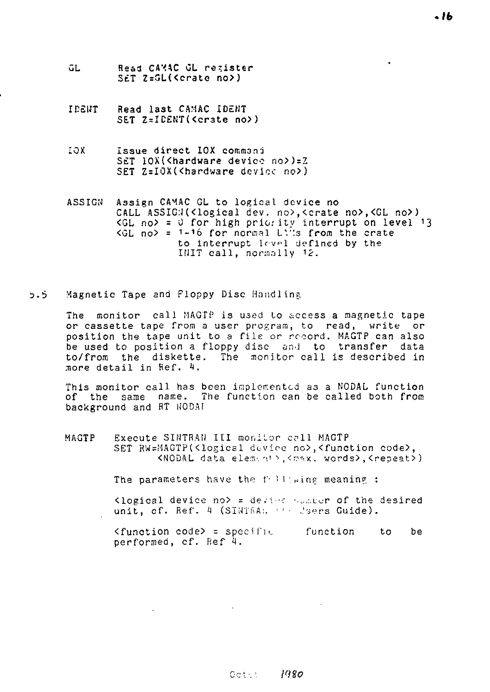- űL. Read CAXAC OL register SET Z=GL(<crate no>)
- IDENT Read last CAMAC IDENT SET Z=ICENT(<crate no>)
- *1011.* Issue direct IOX command SET IOX(Khardware device no>)=Z SET Z=IOX(<hardware device no>)
- ASSIGN Assign CAMAC GL to logical device no CALL ASSIG:J(<logical dev. no>,<crate no>,<GL no>)  $\langle GL \text{ no} \rangle = 0$  for high priority interrupt on level 13  $\langle GL\rangle$  no $\rangle$  = 1-16 for normal LV's from the crate to interrupt level defined by the IHIT call, normally *12.*
- $5.5$ Magnetic Tape and Floppy Disc Handling

The monitor call MAGTP is used Lo access a magnetic tape or cassette tape from a user program, to read, write or position the tape unit to a file or record. MAGTP can also be used to position a floppy disc and to transfer data to/from the diskette. The monitor call is described in more detail in Ref. 4.

This monitor call has been implemented as a NODAL function of the same name. The function can be called both from background and RT NODAI

MAGTP Execute SINTRAN III monitor call MAGTP SET RW=MAGTP(<logical device no>, <function code>,  $SNODAL$  data element>, <max. words>, <repeat>)

The parameters have the following meaning :

 $\sim 10^{-11}$ 

Klogical device no> = device  $\sim$  .... i... of the desired unit, cf. Ref. 4 (SINTRA:. ' : . Jsers Guide).

<function code> = specific function to be performed, cf. Ref 4.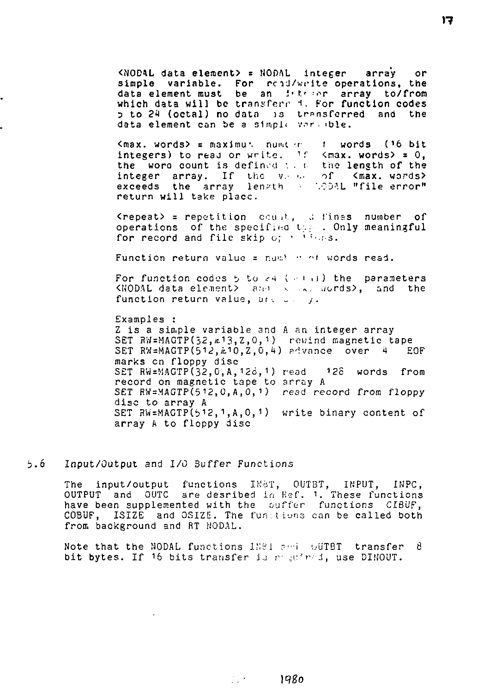<NODAL data element) = NOPAL integer array or simple variable. For read/write operations, the data element must be an *interer* array to/from which data will be transfere 4. For function codes 3 to *2H* (octal) no data is transferred and the data element can be a simple varable.

<max. words> = maximus numter t words (16 bit integers) to read or write.  $1f$  <max. words> = 0, the wora count is defined  $\cdot$ . the length of the integer array. If the your of  $\zeta$  max, words) integer array. If the v.e. of  $\zeta$  (max. words) exceeds the array length  $\sim$  100AL "file-error". return will take place.

 $\langle$ repeat> = repetition count, difines number of operations of the specified t;... Only meaningful for record and file skip o; • ' '• .i-s.

Function return value = numble of words read.

For function codes  $6$  to  $c4$  ( $c+1$ ) the parameters KNODAL data element> and seal acrds>, and the function return value, and  $\alpha = j$ .

Examples : Z is a simple variable and A an integer array SET RW=MAGTP(32,m13,Z,O,1) rewind magnetic tape SET RVJ=MAGTP(512,A,10,Z,0,4) fivnnce over 4 EOF marks en floppy disc SET RW=MAGTP(32,0,A,126,1) read 12c words from record on magnetic tape to array A SET RW=MAGTP(512, 0, A, 0, 1) read record from floppy disc to array A SET RW=MAGTP $(512, 1, A, 0, 1)$  write binary content of array A to floppy disc

#### 5.6 Input/Output and I/O Suffer Functions

The input/output functions Ih'BT, OUTBT, INPUT, INPC, OUTPUT and OUTC are desribed in Kef. 1. These functions have been supplemented with the ouffer functions CIBUF, COSUF, ISIZE and OSIZE. The fun;tions can be called both from background and RT MODAL.

Note that the NODAL functions 1281 and UUTBT transfer 8 bit bytes. If 16 bits transfer is required, use DIMOUT.

 $\sim$  1980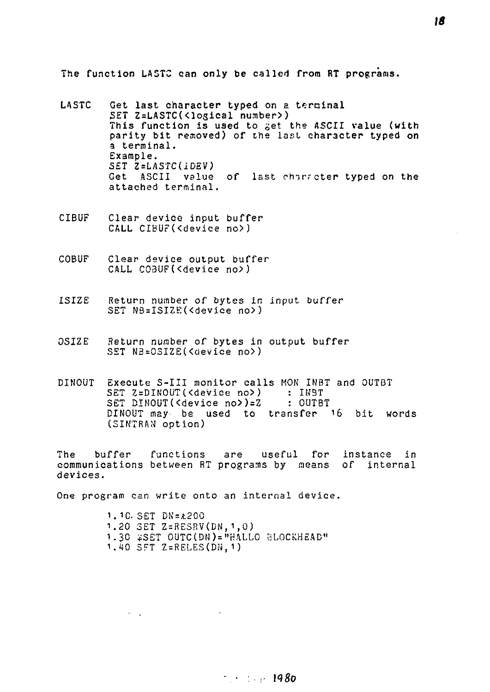The function LA5TC can only be called from RT programs.

- LASTC Get last character typed on a terminal SET Z=LASTC(<logical number>) This function is used to get the ASCII value (with parity bit removed) of the last character typed on a terminal. Example. SET Z=LASTC(IDEV) Get ASCII value of last character typed on the attached terminal.
- CIBUF Clear device input buffer CALL CIBUF(<device no>)
- COBUF Clear device output buffer CALL C03UF(<device no>)
- ISIZE Return number of bytes in input buffer SET NB=ISIZE(<device no>)
- OSIZE Return number of bytes in output buffer SET NB=0SIZE(<device no>)
- DINOUT Execute S-III monitor calls MON INBT and OUTBT SET Z=DINOUT(<device no>) : INST<br>SET DINOUT(<device no>)=Z : OUTBT SET DINOUT(<device no>)=Z DINOUT may be used to transfer 16 bit words (SINTRAN option)

The buffer functions are useful for instance in communications between RT programs by means of internal devices.

One program can write onto an internal device.

 $\lambda = \sqrt{1-\lambda}$ 

1.10. SET DN=A200 1.20 SET Z=RE3RV(DN,1,0) 1.30 \*SET 0UTC(DM)="HALL0 BLOCKHEAD" 1.40 SFT Z=RELES(DN.1)

# $1980$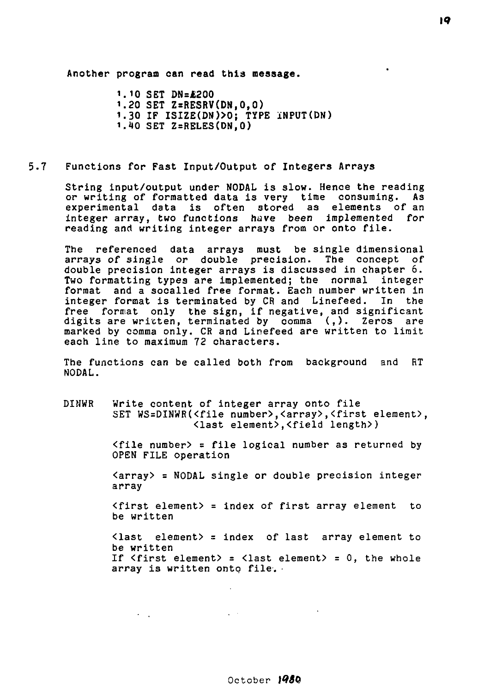**Another program can read this message.** 

**1.10 SET DN=£200 1.20 SET Z=RESRV(DN,0,0) 1.30 IF ISIZE(DN)>0; TYPE iNPUT(DN) 1.10 SET Z=RELES(DN,0)** 

### **5.7** Functions **for Fast Input/Output of Integers Arrays**

String input/output under NODAL is slow. Hence the reading or writing of formatted data is very time consuming. As experimental data is often stored as elements of an integer array, two functions have been implemented *for*  reading and writing integer arrays from or onto file.

The referenced data arrays must be single dimensional arrays *of* single or double precision. The concept of double precision integer arrays is discussed in chapter 6. Two formatting types are implemented; the normal integer format and a socalled free format. Each number written in integer format is terminated by CR and Linefeed. In the free format only the sign, if negative, and significant digits are written, terminated by comma (,). Zeros are marked by comma only. CR and Linefeed are written to limit each line to maximum 72 characters.

The functions can be called both from background and RT NODAL.

DINWR Write content of integer array onto file SET WS=DINWR(<file number>,<array>,<first element>, <last element>,<field length> )

> <file number> = file logical number as returned by OPEN FILE operation

> <array> = NODAL single or double precision integer array

> <flrst element> = index of first array element to be written

> <last element> = index of last array element to be written If  $\langle$  first element) =  $\langle$  last element) = 0, the whole array is written onto file.

# October *tQ8G*

 $\sqrt{1+\beta}$ 

 $\sigma_{\rm{max}}$  .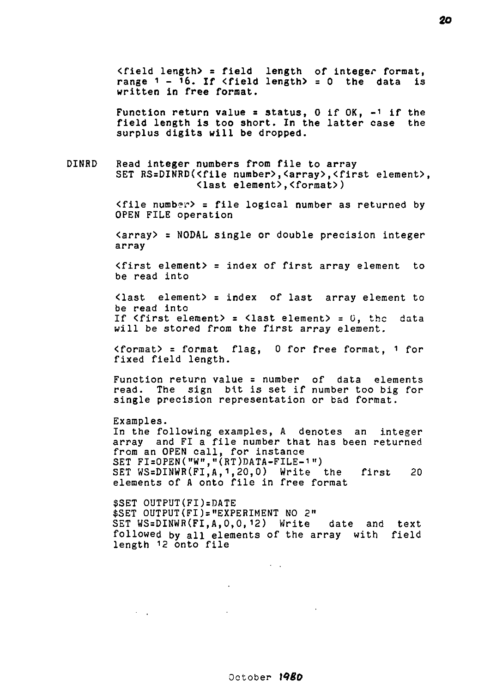<field length) = field length of Integer format, range  $1 - 16$ . If  $\langle$  field length $\rangle = 0$  the data is written in free format.

Function return value = status,  $0$  if  $0K$ ,  $-1$  if the field length is too short. In the latter case the surplus digits will be dropped.

DINRD Read integer numbers from file to array SET RS=DINRD(<file number>, <array>, <first element>, <last element>,<format>)

> $\langle$ file number> = file logical number as returned by OPEN FILE operation

> $\langle$  array $\rangle$  = NODAL single or double precision integer array

> <first element> = index of first array element to be read into

> <last element) = index of last array element to be read into If  $\langle$  first element $\rangle$  =  $\langle$  last element $\rangle$  = 0, the data will be stored from the first array element.

> <format> = format flag, 0 for free format, 1 for fixed field length.

> Function return value = number of data elements read. The sign bit is set if number too big for single precision representation or bad format.

> Examples. In the following examples, A denotes an integer array and FI a file number that has been returned from an OPEN call, for instance SET FI=0PEN("W","(RT)DATA-FILE-1") SET WS=DINWR(FI,A,1,20,0) Write the first 20 elements of A onto file in free format

> \$SET OUTPUT(FI)=DATE \$SET 0UTPUT(FI)="EXPERIMENT NO 2" SET WS=DINWR(FI,A,0,0,12) Write date and text followed by all elements of the array with field length 12 onto file

**All States**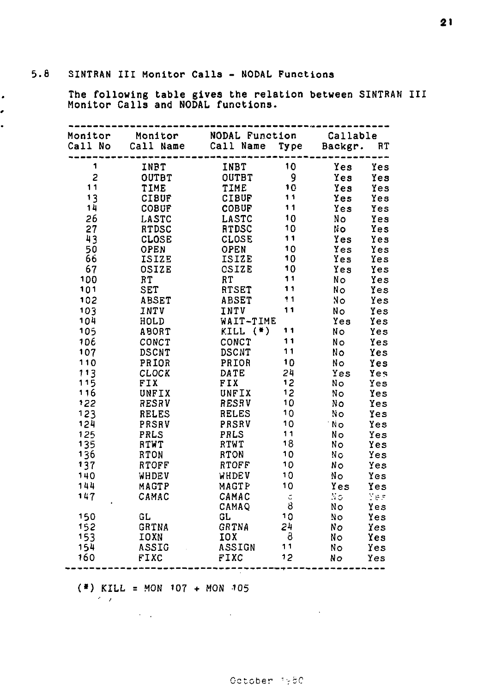$\bullet$ . . **The following table gives the relation between SINTRAN III Monitor Calls and NODAL functions.** 

| Monitor    | Monitor       | NODAL Function |         | Callable |     |
|------------|---------------|----------------|---------|----------|-----|
| Call No    | Call Name     | Call Name      | Type    | Backgr.  | RT  |
| 1          | INPT          | INBT           | 10      | Yes      | Yes |
| 2          | OUTBT         | OUTBT          | 9       | Yes      | Yes |
| 11         | TIME          | TIME           | 10      | Yes      | Yes |
| 13         | <b>CIBUF</b>  | <b>CIBUF</b>   | 11      | Yes      | Yes |
| 14         | COBUF         | <b>COBUF</b>   | 11      | Yes      | Yes |
| 26         | LASTC         | LASTC          | 10      | Nο       | Yes |
| 27         | <b>RTDSC</b>  | <b>RTDSC</b>   | 10      | No       | Yes |
| 43         | CLOSE         | CLOSE          | 11      | Yes      | Yes |
| 50         | OPEN          | OPEN           | 10      | Yes      | Yes |
| 66         | ISIZE         | ISIZE          | 10      | Yes      | Yes |
| 67         | OSIZE         | CSIZE          | 10      | Yes      | Yes |
| 100        | RT            | RT             | 11      | Nο       | Yes |
| 101        | SET           | RTSET          | 11      | No       | Yes |
| 102        | ABSET         | ABSET          | 11      | No       | Yes |
| 103        | INTV          | INTV           | 11      | No.      | Yes |
| 104        | HOLD          | WAIT-TIME      |         | Yes      | Yes |
| 105        | ABORT         | $KILL$ $(*)$   | 11      | No       | Yes |
| 106        | CONCT         | CONCT          | 11      | Nο       | Yes |
| 107        | <b>DSCNT</b>  | <b>DSCNT</b>   | 11      | No       | Yes |
| 110        | PRIOR         | PRIOR          | 10      | Nο       | Yes |
| 113        | CLOCK         | DATE           | 24      | Yes      | Yes |
| 115        | FIX           | FIX            | 12      | No       | Yes |
| 116        | UNFIX         | UNFIX          | 12      | No       | Yes |
| 122        | RESRV         | RESRV          | 10      | Nο       | Yes |
| 123        | <b>RELES</b>  | <b>RELES</b>   | 10      | No       | Yes |
| 124        | PRSRV         | PRSRV          | 10      | 'No      | Yes |
| 125        | PRLS          | PRLS           | 11      | No       | Yes |
| 135        | RTWT          | RTWT           | 18      | Nο       | Yes |
| 136        | RTON          | RTON           | 10      | Nс       | Yes |
| 137        | RTOFF         | RTOFF          | 10      | Νo       | Yes |
| 140        | WHDEV         | WHDEV          | 10      | Nо       | Yes |
| 144        | MAGTP         | MAGTP          | 10      | Yes      | Yes |
| 147        | CAMAC         | CAMAC          | Ċ.      | Νo       | Yes |
|            |               | CAMAQ          | 8       | No       | Yes |
| 150        | GL            | GL             | 10      | No       | Yes |
| 152        | GRTNA         | GRTNA          | 24<br>8 | Nο       | Yes |
| 153        | IOXN<br>ASSIG | 10 X<br>ASSIGN | 11      | No       | Yes |
| 154<br>160 | FIXC          | FIXC           | 12      | No<br>No | Yes |
|            |               |                |         |          | Yes |

 $(*)$  KILL = MON  $107 + M$ ON  $105$ 

 $\mathcal{L}^{\mathcal{L}}$  and  $\mathcal{L}^{\mathcal{L}}$  are the set of the set of the set of  $\mathcal{L}^{\mathcal{L}}$ 

**Contractor**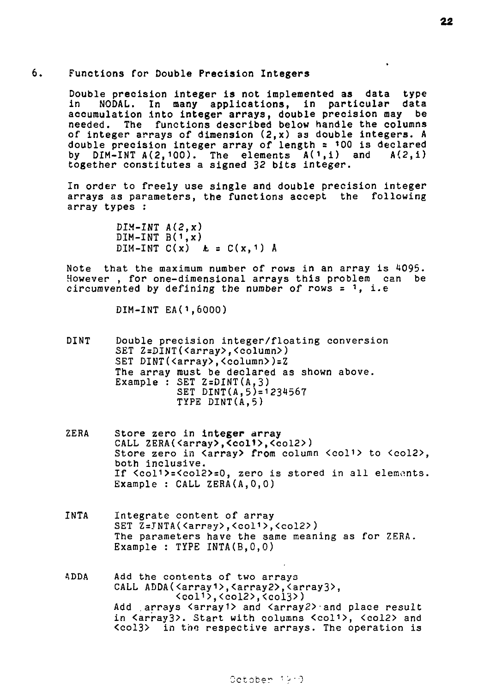#### 6. Functions for Double Precision Integers

Double precision integer is not implemented as data type<br>in 000AL, In many applications, in particular data NODAL. In many applications, in particular accumulation into integer arrays, double precision may be needed. The functions described below handle the columns of integer arrays of dimension (2,x) as double integers. A double precision integer array of length =  $100$  is declared<br>by DIM-INT A(2.100). The elements  $A(1,i)$  and  $A(2,i)$ by DIM-INT  $A(2, 100)$ . The elements  $A(1, i)$  and together constitutes a signed 32 bits integer.

In order to freely use single and double precision integer arrays as parameters, the functions accept the following array types :

> DIM-INT A(2,x)  $DIM-INT B(1,x)$ DIM-INT  $C(x)$   $\&$  =  $C(x, 1)$  A

Note that the maximum number of rows in an array is 4095. However , for one-dimensional arrays this problem can be circumvented by defining the number of rows  $= 1$ , i.e

DIM-INT EA(1,6000)

DINT Double precision integer/floating conversion SET Z=DINT(<array>,<column>) SET DINT(<array>,<column>)=Z The array must be declared as shown above. Example : SET Z=DINT(A,3) SET DINT(A,5)=1231567 TYPE DINT(A,5)

- ZERA Store zero in integer array CALL ZERA(<array>,<col1>,<col2>) Store zero in Karray> from column <col<sup>1</sup>> to <col2>, both inclusive. If <coll>=<col2>=0, zero is stored in all elements. Example : CALL ZERA(A,0,0)
- INTA Integrate content of array SET Z=JNTA(<array>,<coli>,<col2>) The parameters have the same meaning as for ZERA. Example : TYPE INTA(B,0,0)
- ADDA Add the contents of two arrays CALL ADDA(<array1>,<array2>,<array3>, <coli>,<col2>,<col3>) Add arrays <array1> and <array2> and place result in <array3>. Start with columns <col1>, <col2> and  $\langle \text{col3} \rangle$  in the respective arrays. The operation is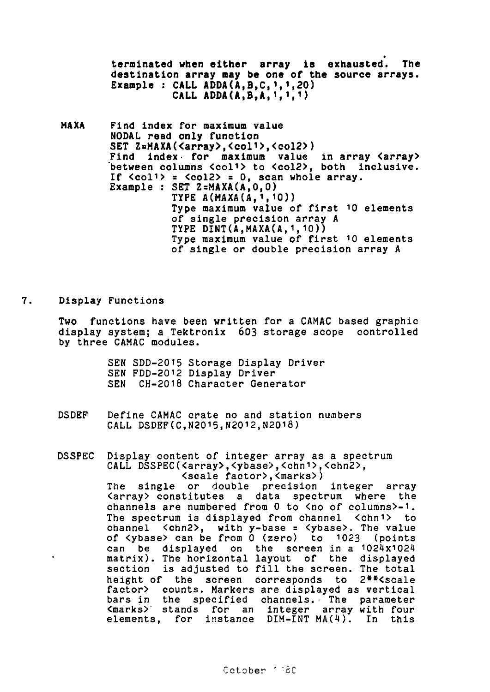terminated **when either array** is **exhausted.** The destination array **nay** be one of the source arrays. Example : CALL ADDA( $A, B, C, 1, 1, 20$ ) CALL ADDA(A,  $B$ ,  $A$ ,  $1$ ,  $1$ ,  $1$ )

- MAXA Find index for maximum value NODAL read only function SET Z=MAXA(<array>,<col<sup>1</sup>>,<col2>) Find index- for maximum value in array <array> between columns <coli> to <col2>, both inclusive. If  $\langle \text{col1} \rangle$  =  $\langle \text{col2} \rangle$  = 0, scan whole array. Example : SET  $2 = MAXA(A, 0, 0)$ TYPE A(MAXA(A,1,10)) Type maximum value of first <sup>1</sup> 0 elements of single precision array A TYPE DINT(A,MAXA(A,1,10)) Type maximum value of first 10 elements of single or double precision array A
- 7. Display Functions

Two functions have been written for a CAMAC based graphic display system; a Tektronix 603 storage scope controlled by three CAMAC modules.

> SEN SDD-2015 Storage Display Driver SEN FDD-2012 Display Driver SEN CH-2018 Character Generator

- DSDEF Define CAMAC crate no and station numbers CALL DSDEF(C,N2015,N2012,N2018)
- DSSPEC Display content of integer array as a spectrum CALL DSSPEC(<array>,<ybase>,<chn1>,<chn2>, <scale factor>,<marks>) The single or double precision integer array <array> constitutes a data spectrum where the channels are numbered from 0 to <no of columns>-1. The spectrum is displayed from channel <chni> to channel <chn2>, with y-base = <ybase>. The value of <ybase> can be from 0 (zero) to 1023 (points can be displayed on the screen in a I024xi02t matrix). The horizontal layout of the displayed section is adjusted to fill the screen. The total height of the screen corresponds to 2\*\*<scale factor> counts. Markers are displayed as vertical bars in the specified channels. The parameter<br><marks> stands for an integer array with four<br>elements, for instance DIM-INT-MA(4). In this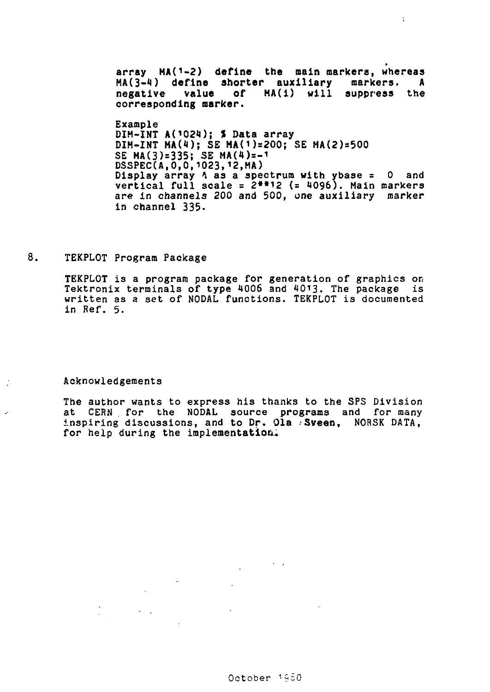array MA(1-2) define the main markers, whereas **MA(3-1) define shorter auxiliary markers. A**  of **HA(i)** will suppress the **corresponding marker.** 

÷

**Example**  DIM-INT A(1024); \$ Data array  $DIM-INT MA(4); SE MA(1)=200; SE MA(2)=500$ **SE MA(3)=335; SE MA(4)=-i DSSPEC(AI0,0,1023,12,MA) Display array t as a spectrum with ybase = 0 and vertical full scale = 2\*\*12 (= 4096). Main markers are in channels 200 and 500, one auxiliary marker in channel 335.** 

8. **TEKPL0T Program Package** 

> **TEKPLOT is a program package for generation of** graphics or, **Tektronix terminals of type 1006 and** 4013. The package is **written as** a set **of NODAL functions. TEKPLOT** is documented **in** Ref. 5.

**Acknowledgements** 

 $\mathcal{L}^{\text{max}}(\mathcal{L}^{\text{max}})$  .

**The author wants** to **express** his thanks **to the** SPS Division at CERN **for** the **NODAL source programs** and for many inspiring discussions, and **to Dr. Ola Sveen,** NORSK DATA, **for** help during the **implementation..**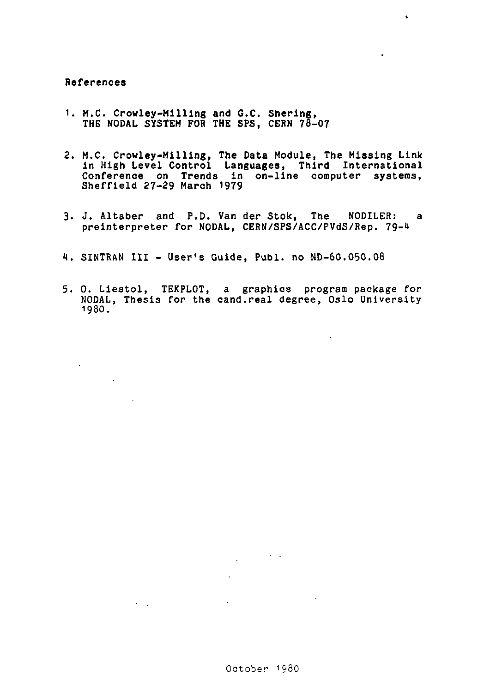# **References**

 $\mathcal{A}^{\text{max}}$ 

 $\sim 10^{11}$ 

 $\sim 10^{11}$  km s  $^{-1}$ 

- **1. M.C. Crowley-Milling and C.C. Shering,**  THE NODAL **SYSTEM FOR THE** SPS, CERN 76-07
- 2. M.C. Crowley-Milling, **The** Data Module, The Missing Link in High Level Control Languages, Third International Conference on Trends in on-line computer systems, Sheffield 27-29 March 1979

 $\ddot{\phantom{a}}$ 

- 3. J. Altaber and P.D. Van der Stok, The NODILER: a preinterpreter for NODAL, CERN/SPS/ACC/PVdS/Rep. 79-4
- 1. SINTRAN III User's Guide, Publ. no ND-60.050.08
- 5. 0. Liestol, TEKPLOT, a graphics program package for NODAL, Thesis for the cand.real degree, Oslo University 198O.

 $\sim 100$   $\mu$ 

 $\sim$   $\sim$ 

 $\sim 10^{-1}$ 

 $\sim 10^{-10}$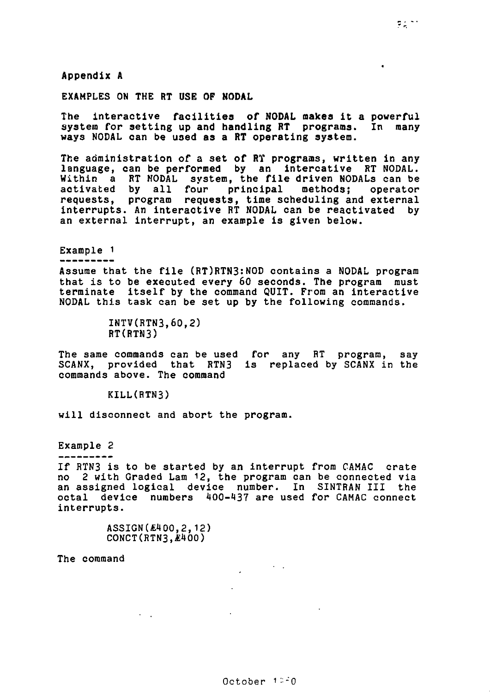**Appendix A** 

**EXAMPLES ON THE RT USE OF NODAL** 

**The interactive facilities of NODAL makes it a powerful**  system for setting up and handling RT programs. **ways NODAL can be used as a RT operating system.** 

**The administration of a set of RT programs, written in any language, can be performed by an intercative RT NODAL. Within a RT MODAL system, the file driven NODALs can be activated by all four principal methods; operator requests, program requests, time scheduling and external interrupts. An interactive RT NODAL can be reactivated by an external interrupt, an example is given below.** 

**Example 1** 

**Assume that the file (RT)RTN3:N0D contains a NODAL program that is to be executed every 60 seconds. The program must terminate itself by the command QUIT. From an interactive NODAL this task can be set up by the following commands.** 

> **INTV(RTN3,60,2) RTCRTN3)**

**The same commands can be used for any RT program, say SCANX, provided that RTN3 is replaced by SCANX in the commands above. The command** 

**KILL(RTN3)** 

**will disconnect and abort the program.** 

**Example 2** 

**If RTN3 is to be started by an interrupt from CAMAC crate no 2 with Graded Lam 12, the program can be connected via an assigned logical device number. In SINTRAN III the octal device numbers 1(00-137 are used for CAMAC connect interrupts.** 

> **ASSIGN(** $E400.2.12$ **) CONCT(RTN3,A;IIOO)**

> > **All Grand**

**The command** 

 $\bullet$